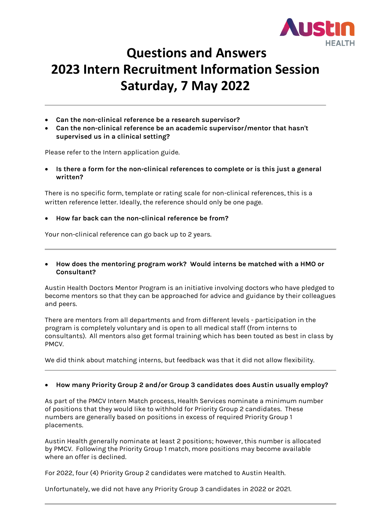

# **Questions and Answers 2023 Intern Recruitment Information Session Saturday, 7 May 2022**

- **Can the non-clinical reference be a research supervisor?**
- **Can the non-clinical reference be an academic supervisor/mentor that hasn't supervised us in a clinical setting?**

Please refer to the Intern application guide.

• **Is there a form for the non-clinical references to complete or is this just a general written?**

There is no specific form, template or rating scale for non-clinical references, this is a written reference letter. Ideally, the reference should only be one page.

• **How far back can the non-clinical reference be from?** 

Your non-clinical reference can go back up to 2 years.

• **How does the mentoring program work? Would interns be matched with a HMO or Consultant?**

Austin Health Doctors Mentor Program is an initiative involving doctors who have pledged to become mentors so that they can be approached for advice and guidance by their colleagues and peers.

There are mentors from all departments and from different levels - participation in the program is completely voluntary and is open to all medical staff (from interns to consultants). All mentors also get formal training which has been touted as best in class by PMCV.

We did think about matching interns, but feedback was that it did not allow flexibility.

#### • **How many Priority Group 2 and/or Group 3 candidates does Austin usually employ?**

As part of the PMCV Intern Match process, Health Services nominate a minimum number of positions that they would like to withhold for Priority Group 2 candidates. These numbers are generally based on positions in excess of required Priority Group 1 placements.

Austin Health generally nominate at least 2 positions; however, this number is allocated by PMCV. Following the Priority Group 1 match, more positions may become available where an offer is declined.

For 2022, four (4) Priority Group 2 candidates were matched to Austin Health.

Unfortunately, we did not have any Priority Group 3 candidates in 2022 or 2021.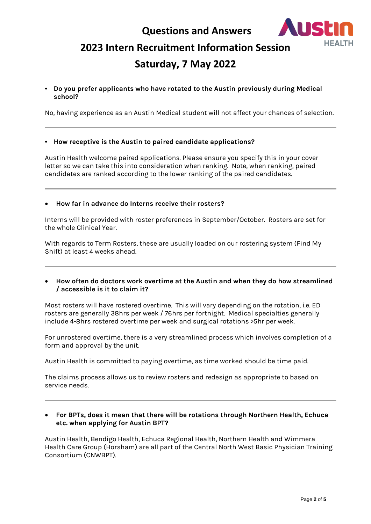

# **2023 Intern Recruitment Information Session**

# **Saturday, 7 May 2022**

**• Do you prefer applicants who have rotated to the Austin previously during Medical school?**

No, having experience as an Austin Medical student will not affect your chances of selection.

#### **• How receptive is the Austin to paired candidate applications?**

Austin Health welcome paired applications. Please ensure you specify this in your cover letter so we can take this into consideration when ranking. Note, when ranking, paired candidates are ranked according to the lower ranking of the paired candidates.

• **How far in advance do Interns receive their rosters?**

Interns will be provided with roster preferences in September/October. Rosters are set for the whole Clinical Year.

With regards to Term Rosters, these are usually loaded on our rostering system (Find My Shift) at least 4 weeks ahead.

• **How often do doctors work overtime at the Austin and when they do how streamlined / accessible is it to claim it?**

Most rosters will have rostered overtime. This will vary depending on the rotation, i.e. ED rosters are generally 38hrs per week / 76hrs per fortnight. Medical specialties generally include 4-8hrs rostered overtime per week and surgical rotations >5hr per week.

For unrostered overtime, there is a very streamlined process which involves completion of a form and approval by the unit.

Austin Health is committed to paying overtime, as time worked should be time paid.

The claims process allows us to review rosters and redesign as appropriate to based on service needs.

• **For BPTs, does it mean that there will be rotations through Northern Health, Echuca etc. when applying for Austin BPT?**

Austin Health, Bendigo Health, Echuca Regional Health, Northern Health and Wimmera Health Care Group (Horsham) are all part of the Central North West Basic Physician Training Consortium (CNWBPT).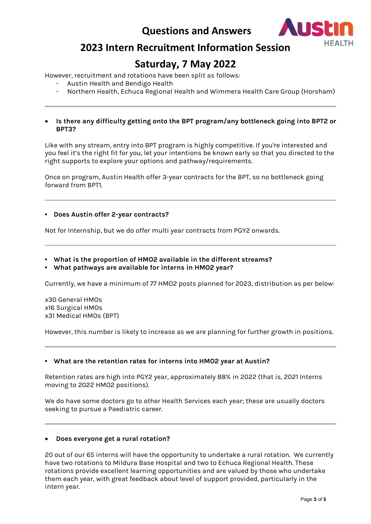

# **2023 Intern Recruitment Information Session**

# **Saturday, 7 May 2022**

However, recruitment and rotations have been split as follows:

- Austin Health and Bendigo Health
- Northern Health, Echuca Regional Health and Wimmera Health Care Group (Horsham)
- **Is there any difficulty getting onto the BPT program/any bottleneck going into BPT2 or BPT3?**

Like with any stream, entry into BPT program is highly competitive. If you're interested and you feel it's the right fit for you, let your intentions be known early so that you directed to the right supports to explore your options and pathway/requirements.

Once on program, Austin Health offer 3-year contracts for the BPT, so no bottleneck going forward from BPT1.

#### **• Does Austin offer 2-year contracts?**

Not for Internship, but we do offer multi year contracts from PGY2 onwards.

- **• What is the proportion of HMO2 available in the different streams?**
- **• What pathways are available for interns in HMO2 year?**

Currently, we have a minimum of 77 HMO2 posts planned for 2023, distribution as per below:

x30 General HMOs x16 Surgical HMOs x31 Medical HMOs (BPT)

However, this number is likely to increase as we are planning for further growth in positions.

#### **• What are the retention rates for interns into HMO2 year at Austin?**

Retention rates are high into PGY2 year, approximately 88% in 2022 (that is, 2021 Interns moving to 2022 HMO2 positions).

We do have some doctors go to other Health Services each year; these are usually doctors seeking to pursue a Paediatric career.

#### • **Does everyone get a rural rotation?**

20 out of our 65 interns will have the opportunity to undertake a rural rotation. We currently have two rotations to Mildura Base Hospital and two to Echuca Regional Health. These rotations provide excellent learning opportunities and are valued by those who undertake them each year, with great feedback about level of support provided, particularly in the intern year.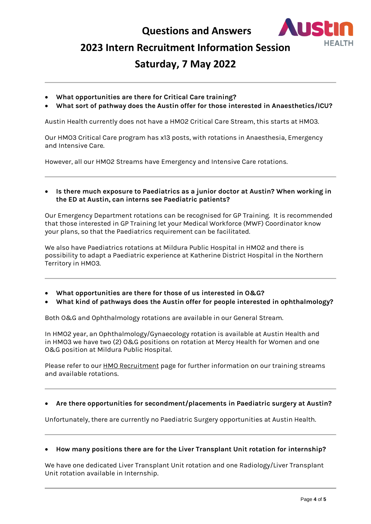

### **2023 Intern Recruitment Information Session**

## **Saturday, 7 May 2022**

- **What opportunities are there for Critical Care training?**
- **What sort of pathway does the Austin offer for those interested in Anaesthetics/ICU?**

Austin Health currently does not have a HMO2 Critical Care Stream, this starts at HMO3.

Our HMO3 Critical Care program has x13 posts, with rotations in Anaesthesia, Emergency and Intensive Care.

However, all our HMO2 Streams have Emergency and Intensive Care rotations.

• **Is there much exposure to Paediatrics as a junior doctor at Austin? When working in the ED at Austin, can interns see Paediatric patients?**

Our Emergency Department rotations can be recognised for GP Training. It is recommended that those interested in GP Training let your Medical Workforce (MWF) Coordinator know your plans, so that the Paediatrics requirement can be facilitated.

We also have Paediatrics rotations at Mildura Public Hospital in HMO2 and there is possibility to adapt a Paediatric experience at Katherine District Hospital in the Northern Territory in HMO3.

- **What opportunities are there for those of us interested in O&G?**
- **What kind of pathways does the Austin offer for people interested in ophthalmology?**

Both O&G and Ophthalmology rotations are available in our General Stream.

In HMO2 year, an Ophthalmology/Gynaecology rotation is available at Austin Health and in HMO3 we have two (2) O&G positions on rotation at Mercy Health for Women and one O&G position at Mildura Public Hospital.

Please refer to our **HMO Recruitment** page for further information on our training streams and available rotations.

#### • **Are there opportunities for secondment/placements in Paediatric surgery at Austin?**

Unfortunately, there are currently no Paediatric Surgery opportunities at Austin Health.

#### • **How many positions there are for the Liver Transplant Unit rotation for internship?**

We have one dedicated Liver Transplant Unit rotation and one Radiology/Liver Transplant Unit rotation available in Internship.